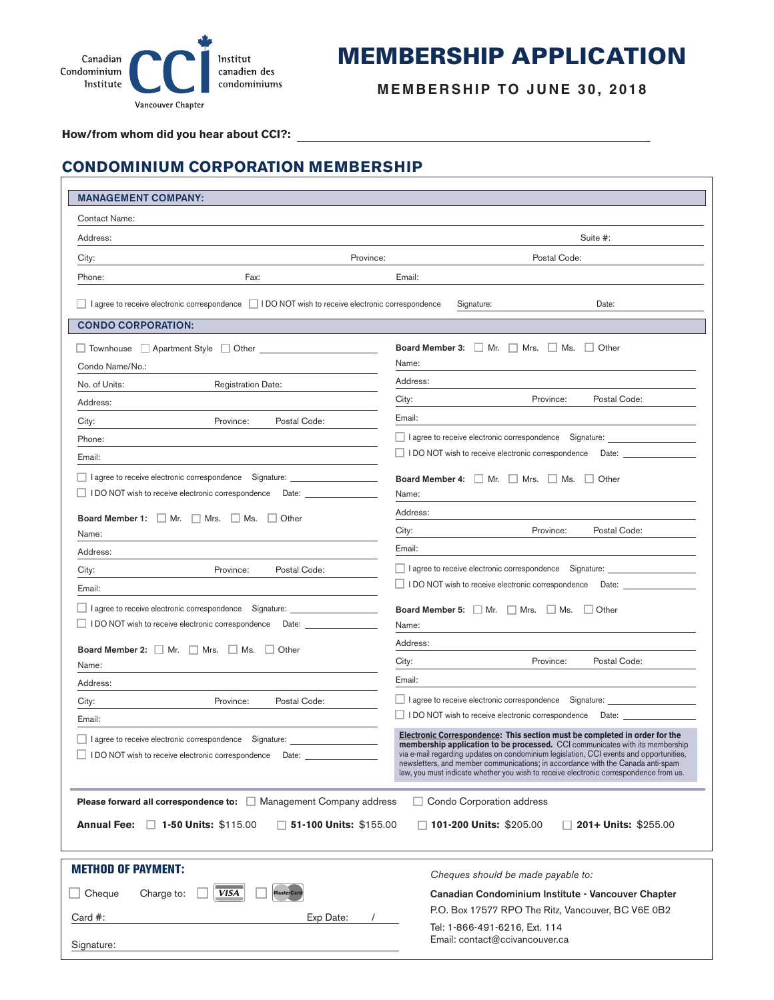

## **MEMBERSHIP APPLICATION**

**MEMBERSHIP TO JUNE 30, 2018** 

<u> 1989 - Johann Barn, mars an t-Amerikaansk ferske</u>

**How/from whom did you hear about CCI?:**

## **CONDOMINIUM CORPORATION MEMBERSHIP**

| <b>MANAGEMENT COMPANY:</b>                                                                        |                                                                                                                                                                                                                                                                                                                                         |  |
|---------------------------------------------------------------------------------------------------|-----------------------------------------------------------------------------------------------------------------------------------------------------------------------------------------------------------------------------------------------------------------------------------------------------------------------------------------|--|
| Contact Name:                                                                                     |                                                                                                                                                                                                                                                                                                                                         |  |
| Address:                                                                                          | Suite #:                                                                                                                                                                                                                                                                                                                                |  |
| City:                                                                                             | Postal Code:<br>Province:                                                                                                                                                                                                                                                                                                               |  |
| Phone:<br>Fax:                                                                                    | Email:                                                                                                                                                                                                                                                                                                                                  |  |
| □ lagree to receive electronic correspondence □ IDO NOT wish to receive electronic correspondence | Signature:<br>Date:                                                                                                                                                                                                                                                                                                                     |  |
| <b>CONDO CORPORATION:</b>                                                                         |                                                                                                                                                                                                                                                                                                                                         |  |
|                                                                                                   |                                                                                                                                                                                                                                                                                                                                         |  |
|                                                                                                   | <b>Board Member 3:</b> $\Box$ Mr. $\Box$ Mrs. $\Box$ Ms. $\Box$ Other<br>Name:                                                                                                                                                                                                                                                          |  |
| Condo Name/No.:                                                                                   | Address:                                                                                                                                                                                                                                                                                                                                |  |
| No. of Units:<br><b>Registration Date:</b>                                                        | Province:<br>Postal Code:<br>City:                                                                                                                                                                                                                                                                                                      |  |
| Address:<br>Postal Code:<br>Province:                                                             | Email:                                                                                                                                                                                                                                                                                                                                  |  |
| City:                                                                                             | □ lagree to receive electronic correspondence Signature: ______________________                                                                                                                                                                                                                                                         |  |
| Phone:<br>Email:                                                                                  | IDO NOT wish to receive electronic correspondence Date:                                                                                                                                                                                                                                                                                 |  |
|                                                                                                   |                                                                                                                                                                                                                                                                                                                                         |  |
| IDO NOT wish to receive electronic correspondence Date: __________                                | <b>Board Member 4:</b> Mr. Mrs. Ms. Other                                                                                                                                                                                                                                                                                               |  |
|                                                                                                   | Name:<br>Address:                                                                                                                                                                                                                                                                                                                       |  |
| <b>Board Member 1:</b> $\Box$ Mr. $\Box$ Mrs. $\Box$ Ms. $\Box$ Other                             | Postal Code:<br>City:<br>Province:                                                                                                                                                                                                                                                                                                      |  |
| Name:                                                                                             | Email:                                                                                                                                                                                                                                                                                                                                  |  |
| Address:                                                                                          |                                                                                                                                                                                                                                                                                                                                         |  |
| Province:<br>Postal Code:<br>City:                                                                | □ lagree to receive electronic correspondence Signature:<br>IDO NOT wish to receive electronic correspondence Date:                                                                                                                                                                                                                     |  |
| Email:                                                                                            |                                                                                                                                                                                                                                                                                                                                         |  |
|                                                                                                   | Board Member 5: Mr. Mrs. Ms. Other                                                                                                                                                                                                                                                                                                      |  |
| IDO NOT wish to receive electronic correspondence Date: ________________________                  | Name:                                                                                                                                                                                                                                                                                                                                   |  |
| Board Member 2: Mr. Nrs. Ms. Other                                                                | Address:                                                                                                                                                                                                                                                                                                                                |  |
| Name:                                                                                             | Province:<br>Postal Code:<br>City:                                                                                                                                                                                                                                                                                                      |  |
| Address:                                                                                          | Email:                                                                                                                                                                                                                                                                                                                                  |  |
| Province:<br>Postal Code:<br>City:                                                                | □ lagree to receive electronic correspondence Signature: <u>secondence</u>                                                                                                                                                                                                                                                              |  |
| Email:                                                                                            | IDO NOT wish to receive electronic correspondence Date:                                                                                                                                                                                                                                                                                 |  |
| □ lagree to receive electronic correspondence Signature:                                          | Electronic Correspondence: This section must be completed in order for the<br>membership application to be processed. CCI communicates with its membership<br>via e-mail regarding updates on condominium legislation, CCI events and opportunities,<br>newsletters, and member communications; in accordance with the Canada anti-spam |  |
| IDO NOT wish to receive electronic correspondence<br>Date:                                        |                                                                                                                                                                                                                                                                                                                                         |  |
|                                                                                                   | law, you must indicate whether you wish to receive electronic correspondence from us.                                                                                                                                                                                                                                                   |  |
| Please forward all correspondence to: Management Company address                                  | $\Box$ Condo Corporation address                                                                                                                                                                                                                                                                                                        |  |
|                                                                                                   |                                                                                                                                                                                                                                                                                                                                         |  |
| $\Box$ 1-50 Units: \$115.00<br>$\Box$ 51-100 Units: \$155.00<br><b>Annual Fee:</b>                | $\Box$ 101-200 Units: \$205.00<br>201+ Units: \$255.00                                                                                                                                                                                                                                                                                  |  |
|                                                                                                   |                                                                                                                                                                                                                                                                                                                                         |  |
| <b>METHOD OF PAYMENT:</b>                                                                         | Cheques should be made payable to:                                                                                                                                                                                                                                                                                                      |  |
| <b>VISA</b><br>Cheque<br>Charge to:<br><b>MasterCard</b>                                          | Canadian Condominium Institute - Vancouver Chapter                                                                                                                                                                                                                                                                                      |  |
| Exp Date:<br>Card #:                                                                              | P.O. Box 17577 RPO The Ritz, Vancouver, BC V6E 0B2                                                                                                                                                                                                                                                                                      |  |
|                                                                                                   | Tel: 1-866-491-6216, Ext. 114                                                                                                                                                                                                                                                                                                           |  |
| Signature:                                                                                        | Email: contact@ccivancouver.ca                                                                                                                                                                                                                                                                                                          |  |